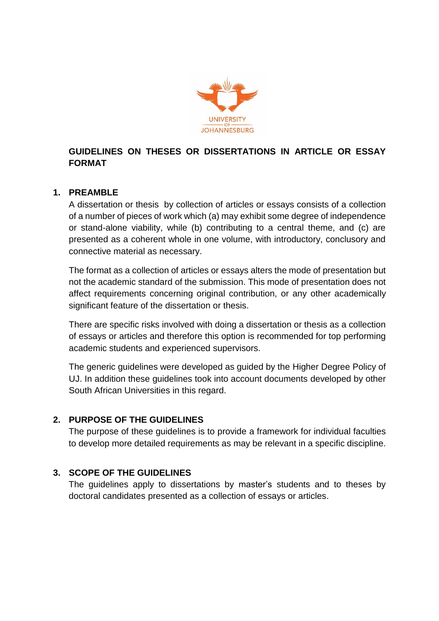

# **GUIDELINES ON THESES OR DISSERTATIONS IN ARTICLE OR ESSAY FORMAT**

## **1. PREAMBLE**

A dissertation or thesis by collection of articles or essays consists of a collection of a number of pieces of work which (a) may exhibit some degree of independence or stand-alone viability, while (b) contributing to a central theme, and (c) are presented as a coherent whole in one volume, with introductory, conclusory and connective material as necessary.

The format as a collection of articles or essays alters the mode of presentation but not the academic standard of the submission. This mode of presentation does not affect requirements concerning original contribution, or any other academically significant feature of the dissertation or thesis.

There are specific risks involved with doing a dissertation or thesis as a collection of essays or articles and therefore this option is recommended for top performing academic students and experienced supervisors.

The generic guidelines were developed as guided by the Higher Degree Policy of UJ. In addition these guidelines took into account documents developed by other South African Universities in this regard.

### **2. PURPOSE OF THE GUIDELINES**

The purpose of these guidelines is to provide a framework for individual faculties to develop more detailed requirements as may be relevant in a specific discipline.

### **3. SCOPE OF THE GUIDELINES**

The guidelines apply to dissertations by master's students and to theses by doctoral candidates presented as a collection of essays or articles.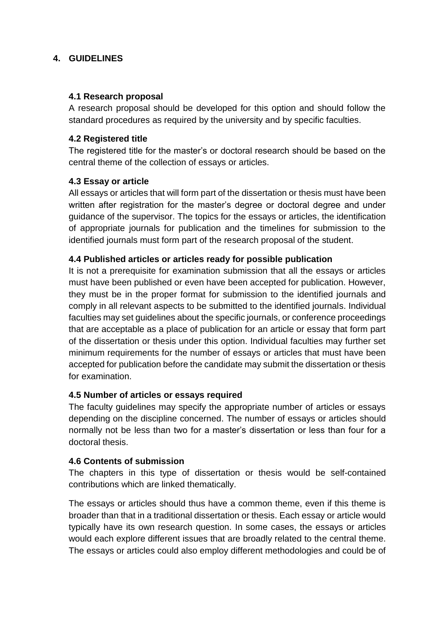### **4. GUIDELINES**

#### **4.1 Research proposal**

A research proposal should be developed for this option and should follow the standard procedures as required by the university and by specific faculties.

## **4.2 Registered title**

The registered title for the master's or doctoral research should be based on the central theme of the collection of essays or articles.

### **4.3 Essay or article**

All essays or articles that will form part of the dissertation or thesis must have been written after registration for the master's degree or doctoral degree and under guidance of the supervisor. The topics for the essays or articles, the identification of appropriate journals for publication and the timelines for submission to the identified journals must form part of the research proposal of the student.

### **4.4 Published articles or articles ready for possible publication**

It is not a prerequisite for examination submission that all the essays or articles must have been published or even have been accepted for publication. However, they must be in the proper format for submission to the identified journals and comply in all relevant aspects to be submitted to the identified journals. Individual faculties may set guidelines about the specific journals, or conference proceedings that are acceptable as a place of publication for an article or essay that form part of the dissertation or thesis under this option. Individual faculties may further set minimum requirements for the number of essays or articles that must have been accepted for publication before the candidate may submit the dissertation or thesis for examination.

### **4.5 Number of articles or essays required**

The faculty guidelines may specify the appropriate number of articles or essays depending on the discipline concerned. The number of essays or articles should normally not be less than two for a master's dissertation or less than four for a doctoral thesis.

### **4.6 Contents of submission**

The chapters in this type of dissertation or thesis would be self-contained contributions which are linked thematically.

The essays or articles should thus have a common theme, even if this theme is broader than that in a traditional dissertation or thesis. Each essay or article would typically have its own research question. In some cases, the essays or articles would each explore different issues that are broadly related to the central theme. The essays or articles could also employ different methodologies and could be of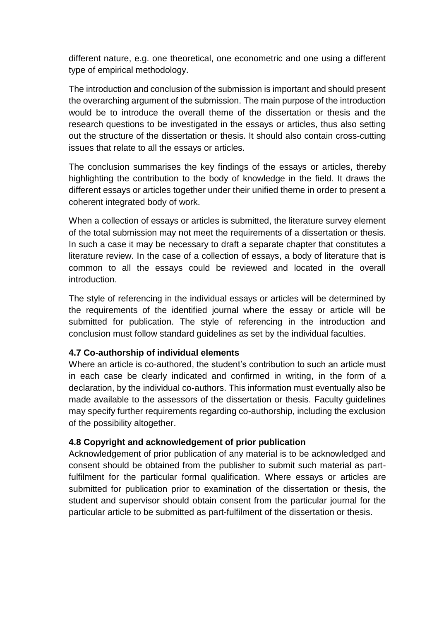different nature, e.g. one theoretical, one econometric and one using a different type of empirical methodology.

The introduction and conclusion of the submission is important and should present the overarching argument of the submission. The main purpose of the introduction would be to introduce the overall theme of the dissertation or thesis and the research questions to be investigated in the essays or articles, thus also setting out the structure of the dissertation or thesis. It should also contain cross-cutting issues that relate to all the essays or articles.

The conclusion summarises the key findings of the essays or articles, thereby highlighting the contribution to the body of knowledge in the field. It draws the different essays or articles together under their unified theme in order to present a coherent integrated body of work.

When a collection of essays or articles is submitted, the literature survey element of the total submission may not meet the requirements of a dissertation or thesis. In such a case it may be necessary to draft a separate chapter that constitutes a literature review. In the case of a collection of essays, a body of literature that is common to all the essays could be reviewed and located in the overall introduction.

The style of referencing in the individual essays or articles will be determined by the requirements of the identified journal where the essay or article will be submitted for publication. The style of referencing in the introduction and conclusion must follow standard guidelines as set by the individual faculties.

### **4.7 Co-authorship of individual elements**

Where an article is co-authored, the student's contribution to such an article must in each case be clearly indicated and confirmed in writing, in the form of a declaration, by the individual co-authors. This information must eventually also be made available to the assessors of the dissertation or thesis. Faculty guidelines may specify further requirements regarding co-authorship, including the exclusion of the possibility altogether.

### **4.8 Copyright and acknowledgement of prior publication**

Acknowledgement of prior publication of any material is to be acknowledged and consent should be obtained from the publisher to submit such material as partfulfilment for the particular formal qualification. Where essays or articles are submitted for publication prior to examination of the dissertation or thesis, the student and supervisor should obtain consent from the particular journal for the particular article to be submitted as part-fulfilment of the dissertation or thesis.